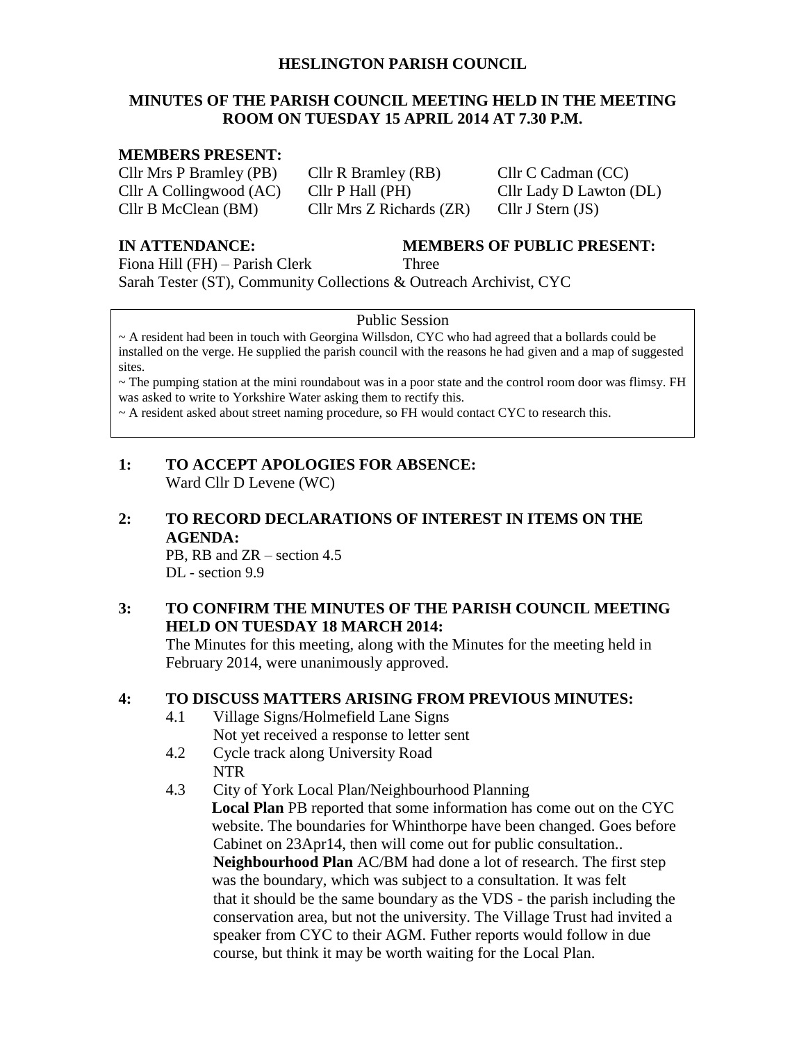#### **HESLINGTON PARISH COUNCIL**

### **MINUTES OF THE PARISH COUNCIL MEETING HELD IN THE MEETING ROOM ON TUESDAY 15 APRIL 2014 AT 7.30 P.M.**

#### **MEMBERS PRESENT:**

Cllr Mrs P Bramley (PB) Cllr R Bramley (RB) Cllr C Cadman (CC) Cllr A Collingwood (AC) Cllr P Hall (PH) Cllr Lady D Lawton (DL) Cllr B McClean (BM) Cllr Mrs Z Richards (ZR) Cllr J Stern (JS)

**IN ATTENDANCE: MEMBERS OF PUBLIC PRESENT:**

Fiona Hill (FH) – Parish Clerk Three

Sarah Tester (ST), Community Collections & Outreach Archivist, CYC

#### Public Session

~ A resident had been in touch with Georgina Willsdon, CYC who had agreed that a bollards could be installed on the verge. He supplied the parish council with the reasons he had given and a map of suggested sites.

 $\sim$  The pumping station at the mini roundabout was in a poor state and the control room door was flimsy. FH was asked to write to Yorkshire Water asking them to rectify this.

~ A resident asked about street naming procedure, so FH would contact CYC to research this.

### **1: TO ACCEPT APOLOGIES FOR ABSENCE:** Ward Cllr D Levene (WC)

## **2: TO RECORD DECLARATIONS OF INTEREST IN ITEMS ON THE AGENDA:**

PB, RB and ZR – section 4.5 DL - section 9.9

### **3: TO CONFIRM THE MINUTES OF THE PARISH COUNCIL MEETING HELD ON TUESDAY 18 MARCH 2014:**

The Minutes for this meeting, along with the Minutes for the meeting held in February 2014, were unanimously approved.

## **4: TO DISCUSS MATTERS ARISING FROM PREVIOUS MINUTES:**

- 4.1 Village Signs/Holmefield Lane Signs Not yet received a response to letter sent
- 4.2 Cycle track along University Road NTR
- 4.3 City of York Local Plan/Neighbourhood Planning **Local Plan** PB reported that some information has come out on the CYC website. The boundaries for Whinthorpe have been changed. Goes before Cabinet on 23Apr14, then will come out for public consultation.. **Neighbourhood Plan** AC/BM had done a lot of research. The first step was the boundary, which was subject to a consultation. It was felt that it should be the same boundary as the VDS - the parish including the conservation area, but not the university. The Village Trust had invited a speaker from CYC to their AGM. Futher reports would follow in due course, but think it may be worth waiting for the Local Plan.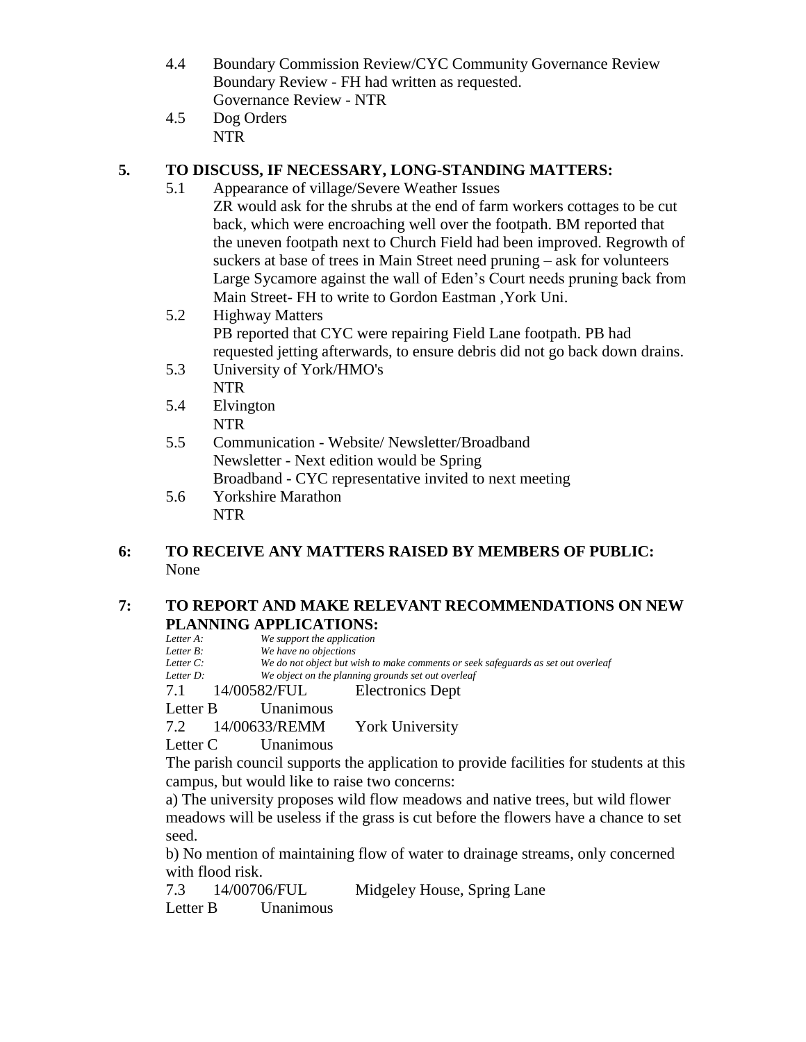- 4.4 Boundary Commission Review/CYC Community Governance Review Boundary Review - FH had written as requested. Governance Review - NTR
- 4.5 Dog Orders NTR

## **5. TO DISCUSS, IF NECESSARY, LONG-STANDING MATTERS:**

- 5.1 Appearance of village/Severe Weather Issues ZR would ask for the shrubs at the end of farm workers cottages to be cut back, which were encroaching well over the footpath. BM reported that the uneven footpath next to Church Field had been improved. Regrowth of suckers at base of trees in Main Street need pruning – ask for volunteers Large Sycamore against the wall of Eden's Court needs pruning back from Main Street- FH to write to Gordon Eastman ,York Uni.
- 5.2 Highway Matters PB reported that CYC were repairing Field Lane footpath. PB had requested jetting afterwards, to ensure debris did not go back down drains.
- 5.3 University of York/HMO's NTR
- 5.4 Elvington NTR
- 5.5 Communication Website/ Newsletter/Broadband Newsletter - Next edition would be Spring Broadband - CYC representative invited to next meeting
- 5.6 Yorkshire Marathon NTR

## **6: TO RECEIVE ANY MATTERS RAISED BY MEMBERS OF PUBLIC:** None

### **7: TO REPORT AND MAKE RELEVANT RECOMMENDATIONS ON NEW PLANNING APPLICATIONS:**

| Letter A: | We support the application |                                                                                   |
|-----------|----------------------------|-----------------------------------------------------------------------------------|
| Letter B: | We have no objections      |                                                                                   |
| Letter C: |                            | We do not object but wish to make comments or seek safeguards as set out overleaf |
| Letter D: |                            | We object on the planning grounds set out overleaf                                |
|           |                            | 7.1 14/00582/FUL Electronics Dept                                                 |
| Letter B  | Unanimous                  |                                                                                   |
|           |                            | 7.2 14/00633/REMM York University                                                 |
| Letter C  | Unanimous                  |                                                                                   |
|           |                            |                                                                                   |

The parish council supports the application to provide facilities for students at this campus, but would like to raise two concerns:

a) The university proposes wild flow meadows and native trees, but wild flower meadows will be useless if the grass is cut before the flowers have a chance to set seed.

b) No mention of maintaining flow of water to drainage streams, only concerned with flood risk.

7.3 14/00706/FUL Midgeley House, Spring Lane

Letter B Unanimous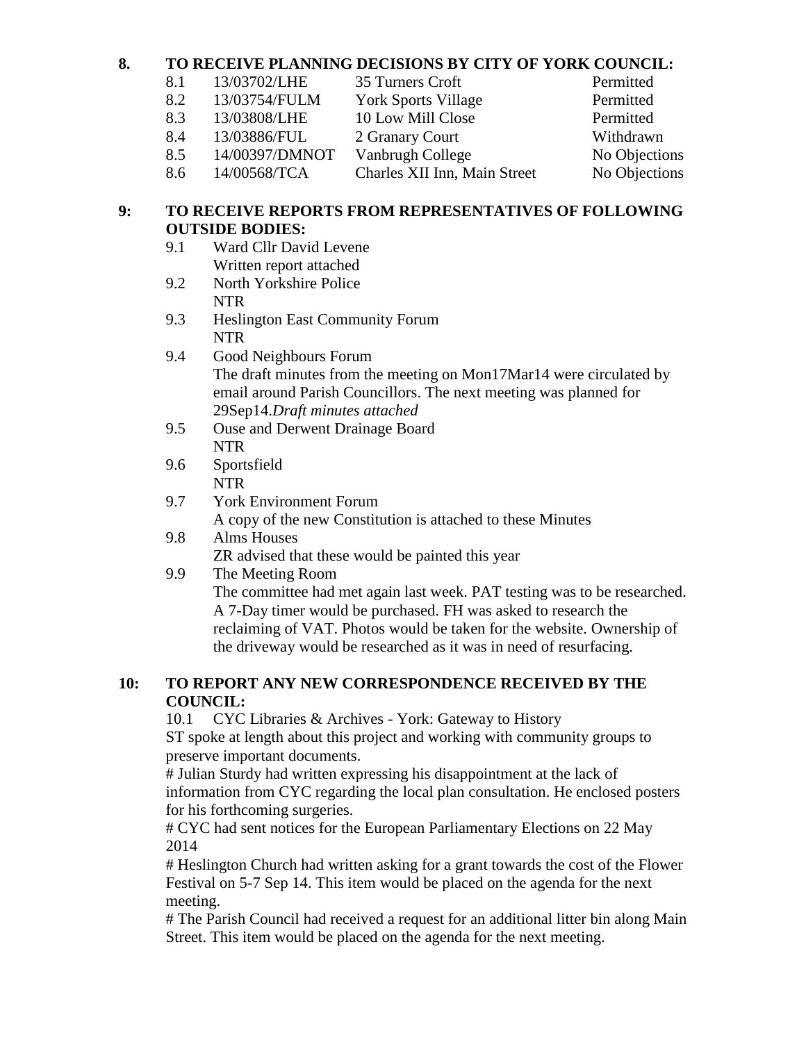## **8. TO RECEIVE PLANNING DECISIONS BY CITY OF YORK COUNCIL:**

| 8.1 | 13/03702/LHE   | 35 Turners Croft             | Permitted     |
|-----|----------------|------------------------------|---------------|
| 8.2 | 13/03754/FULM  | <b>York Sports Village</b>   | Permitted     |
| 8.3 | 13/03808/LHE   | 10 Low Mill Close            | Permitted     |
| 8.4 | 13/03886/FUL   | 2 Granary Court              | Withdrawn     |
| 8.5 | 14/00397/DMNOT | Vanbrugh College             | No Objections |
| 8.6 | 14/00568/TCA   | Charles XII Inn, Main Street | No Objections |
|     |                |                              |               |

## **9: TO RECEIVE REPORTS FROM REPRESENTATIVES OF FOLLOWING OUTSIDE BODIES:**

- 9.1 Ward Cllr David Levene Written report attached
- 9.2 North Yorkshire Police NTR
- 9.3 Heslington East Community Forum NTR
- 9.4 Good Neighbours Forum The draft minutes from the meeting on Mon17Mar14 were circulated by email around Parish Councillors. The next meeting was planned for 29Sep14.*Draft minutes attached*
- 9.5 Ouse and Derwent Drainage Board NTR
- 9.6 Sportsfield **NTR**
- 9.7 York Environment Forum
	- A copy of the new Constitution is attached to these Minutes
- 9.8 Alms Houses

ZR advised that these would be painted this year

# 9.9 The Meeting Room

The committee had met again last week. PAT testing was to be researched. A 7-Day timer would be purchased. FH was asked to research the reclaiming of VAT. Photos would be taken for the website. Ownership of the driveway would be researched as it was in need of resurfacing.

## **10: TO REPORT ANY NEW CORRESPONDENCE RECEIVED BY THE COUNCIL:**

10.1 CYC Libraries & Archives - York: Gateway to History

ST spoke at length about this project and working with community groups to preserve important documents.

# Julian Sturdy had written expressing his disappointment at the lack of information from CYC regarding the local plan consultation. He enclosed posters for his forthcoming surgeries.

# CYC had sent notices for the European Parliamentary Elections on 22 May 2014

# Heslington Church had written asking for a grant towards the cost of the Flower Festival on 5-7 Sep 14. This item would be placed on the agenda for the next meeting.

# The Parish Council had received a request for an additional litter bin along Main Street. This item would be placed on the agenda for the next meeting.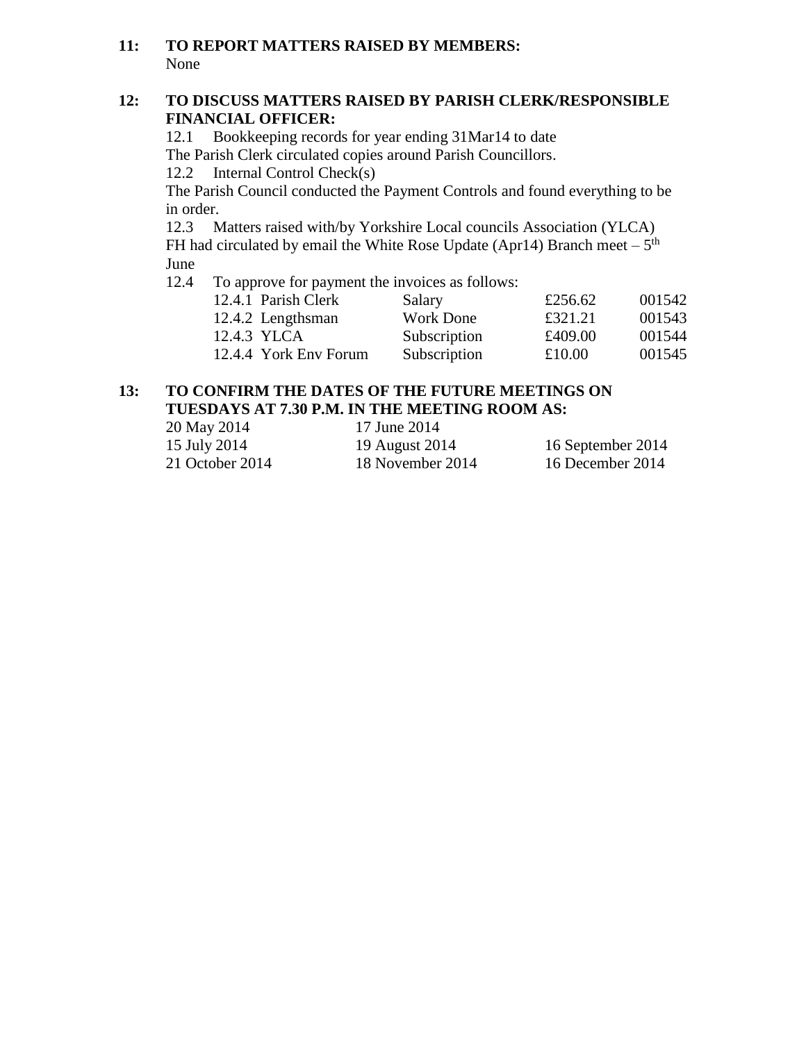### **11: TO REPORT MATTERS RAISED BY MEMBERS:** None

#### **12: TO DISCUSS MATTERS RAISED BY PARISH CLERK/RESPONSIBLE FINANCIAL OFFICER:**

12.1 Bookkeeping records for year ending 31Mar14 to date The Parish Clerk circulated copies around Parish Councillors.

12.2 Internal Control Check(s)

The Parish Council conducted the Payment Controls and found everything to be in order.

12.3 Matters raised with/by Yorkshire Local councils Association (YLCA) FH had circulated by email the White Rose Update (Apr14) Branch meet  $-5<sup>th</sup>$ June

12.4 To approve for payment the invoices as follows:

| 12.4.1 Parish Clerk   | Salary           | £256.62 | 001542 |
|-----------------------|------------------|---------|--------|
| 12.4.2 Lengthsman     | <b>Work Done</b> | £321.21 | 001543 |
| 12.4.3 YLCA           | Subscription     | £409.00 | 001544 |
| 12.4.4 York Env Forum | Subscription     | £10.00  | 001545 |
|                       |                  |         |        |

## **13: TO CONFIRM THE DATES OF THE FUTURE MEETINGS ON TUESDAYS AT 7.30 P.M. IN THE MEETING ROOM AS:**

| 20 May 2014     | 17 June 2014     |                   |
|-----------------|------------------|-------------------|
| 15 July 2014    | 19 August 2014   | 16 September 2014 |
| 21 October 2014 | 18 November 2014 | 16 December 2014  |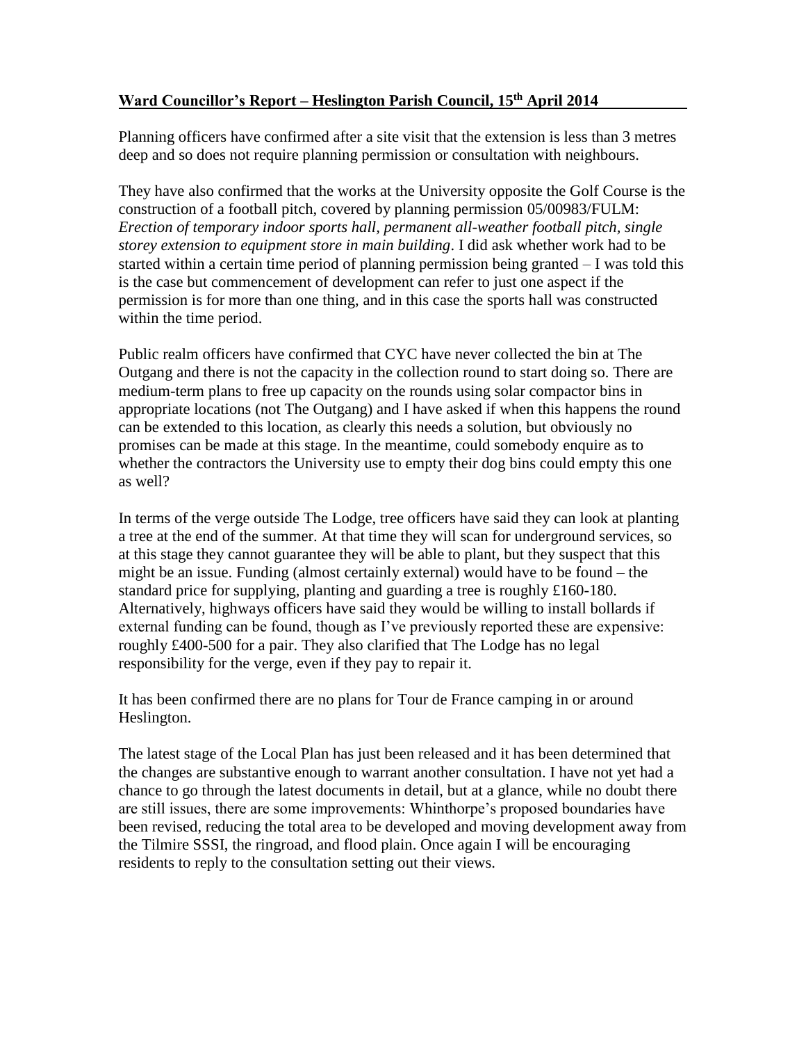## **Ward Councillor's Report – Heslington Parish Council, 15 th April 2014**

Planning officers have confirmed after a site visit that the extension is less than 3 metres deep and so does not require planning permission or consultation with neighbours.

They have also confirmed that the works at the University opposite the Golf Course is the construction of a football pitch, covered by planning permission 05/00983/FULM: *Erection of temporary indoor sports hall, permanent all-weather football pitch, single storey extension to equipment store in main building*. I did ask whether work had to be started within a certain time period of planning permission being granted – I was told this is the case but commencement of development can refer to just one aspect if the permission is for more than one thing, and in this case the sports hall was constructed within the time period.

Public realm officers have confirmed that CYC have never collected the bin at The Outgang and there is not the capacity in the collection round to start doing so. There are medium-term plans to free up capacity on the rounds using solar compactor bins in appropriate locations (not The Outgang) and I have asked if when this happens the round can be extended to this location, as clearly this needs a solution, but obviously no promises can be made at this stage. In the meantime, could somebody enquire as to whether the contractors the University use to empty their dog bins could empty this one as well?

In terms of the verge outside The Lodge, tree officers have said they can look at planting a tree at the end of the summer. At that time they will scan for underground services, so at this stage they cannot guarantee they will be able to plant, but they suspect that this might be an issue. Funding (almost certainly external) would have to be found – the standard price for supplying, planting and guarding a tree is roughly £160-180. Alternatively, highways officers have said they would be willing to install bollards if external funding can be found, though as I've previously reported these are expensive: roughly £400-500 for a pair. They also clarified that The Lodge has no legal responsibility for the verge, even if they pay to repair it.

It has been confirmed there are no plans for Tour de France camping in or around Heslington.

The latest stage of the Local Plan has just been released and it has been determined that the changes are substantive enough to warrant another consultation. I have not yet had a chance to go through the latest documents in detail, but at a glance, while no doubt there are still issues, there are some improvements: Whinthorpe's proposed boundaries have been revised, reducing the total area to be developed and moving development away from the Tilmire SSSI, the ringroad, and flood plain. Once again I will be encouraging residents to reply to the consultation setting out their views.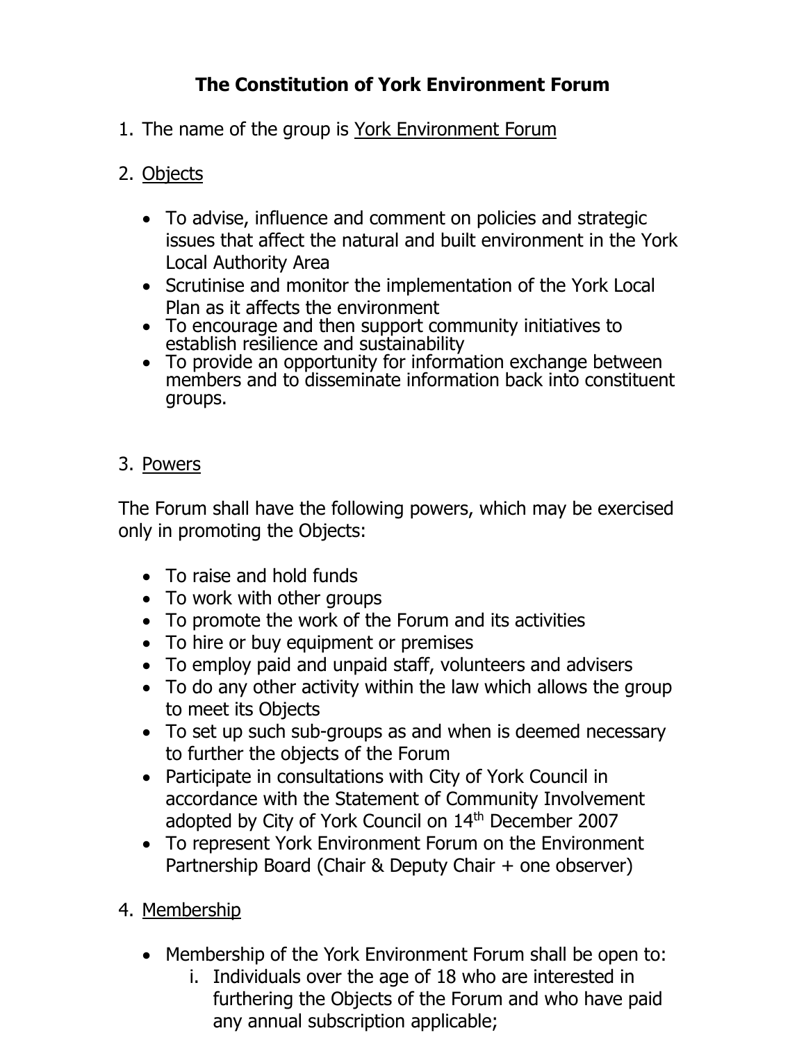# **The Constitution of York Environment Forum**

1. The name of the group is York Environment Forum

# 2. Objects

- To advise, influence and comment on policies and strategic issues that affect the natural and built environment in the York Local Authority Area
- Scrutinise and monitor the implementation of the York Local Plan as it affects the environment
- To encourage and then support community initiatives to establish resilience and sustainability
- To provide an opportunity for information exchange between members and to disseminate information back into constituent groups.

# 3. Powers

The Forum shall have the following powers, which may be exercised only in promoting the Objects:

- To raise and hold funds
- To work with other groups
- To promote the work of the Forum and its activities
- To hire or buy equipment or premises
- To employ paid and unpaid staff, volunteers and advisers
- To do any other activity within the law which allows the group to meet its Objects
- To set up such sub-groups as and when is deemed necessary to further the objects of the Forum
- Participate in consultations with City of York Council in accordance with the Statement of Community Involvement adopted by City of York Council on 14<sup>th</sup> December 2007
- To represent York Environment Forum on the Environment Partnership Board (Chair & Deputy Chair + one observer)
- 4. Membership
	- Membership of the York Environment Forum shall be open to:
		- i. Individuals over the age of 18 who are interested in furthering the Objects of the Forum and who have paid any annual subscription applicable;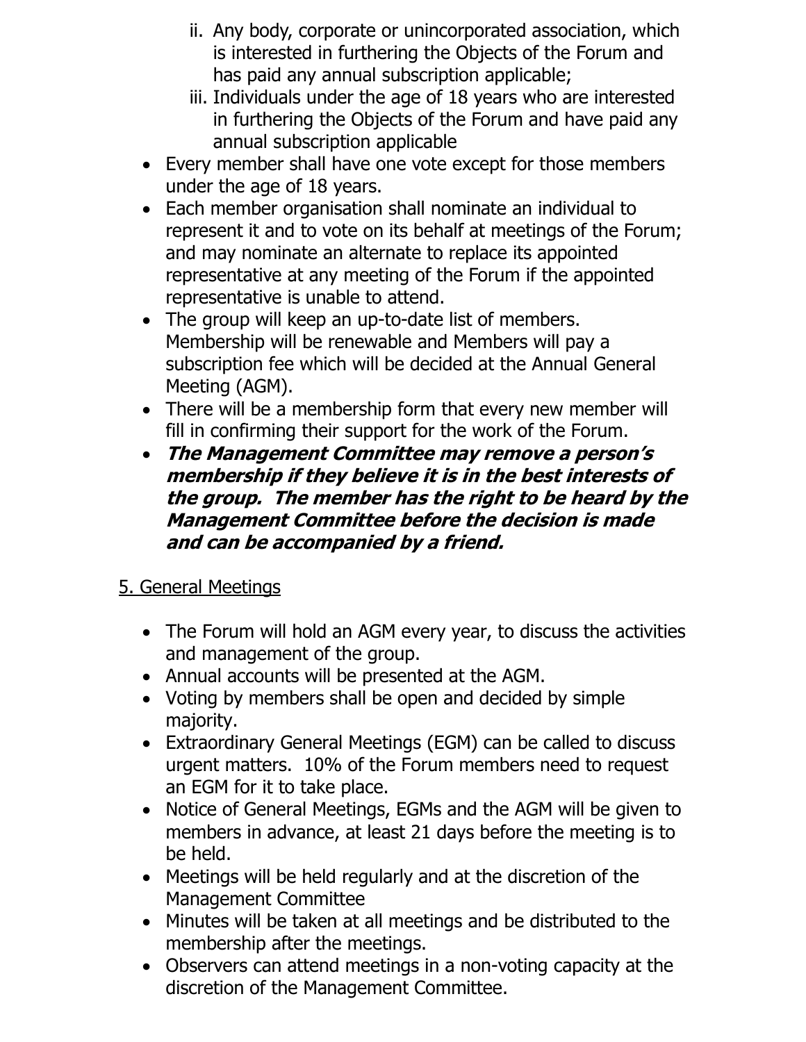- ii. Any body, corporate or unincorporated association, which is interested in furthering the Objects of the Forum and has paid any annual subscription applicable;
- iii. Individuals under the age of 18 years who are interested in furthering the Objects of the Forum and have paid any annual subscription applicable
- Every member shall have one vote except for those members under the age of 18 years.
- Each member organisation shall nominate an individual to represent it and to vote on its behalf at meetings of the Forum; and may nominate an alternate to replace its appointed representative at any meeting of the Forum if the appointed representative is unable to attend.
- The group will keep an up-to-date list of members. Membership will be renewable and Members will pay a subscription fee which will be decided at the Annual General Meeting (AGM).
- There will be a membership form that every new member will fill in confirming their support for the work of the Forum.
- **The Management Committee may remove a person's membership if they believe it is in the best interests of the group. The member has the right to be heard by the Management Committee before the decision is made and can be accompanied by a friend.**

# 5. General Meetings

- The Forum will hold an AGM every year, to discuss the activities and management of the group.
- Annual accounts will be presented at the AGM.
- Voting by members shall be open and decided by simple majority.
- Extraordinary General Meetings (EGM) can be called to discuss urgent matters. 10% of the Forum members need to request an EGM for it to take place.
- Notice of General Meetings, EGMs and the AGM will be given to members in advance, at least 21 days before the meeting is to be held.
- Meetings will be held regularly and at the discretion of the Management Committee
- Minutes will be taken at all meetings and be distributed to the membership after the meetings.
- Observers can attend meetings in a non-voting capacity at the discretion of the Management Committee.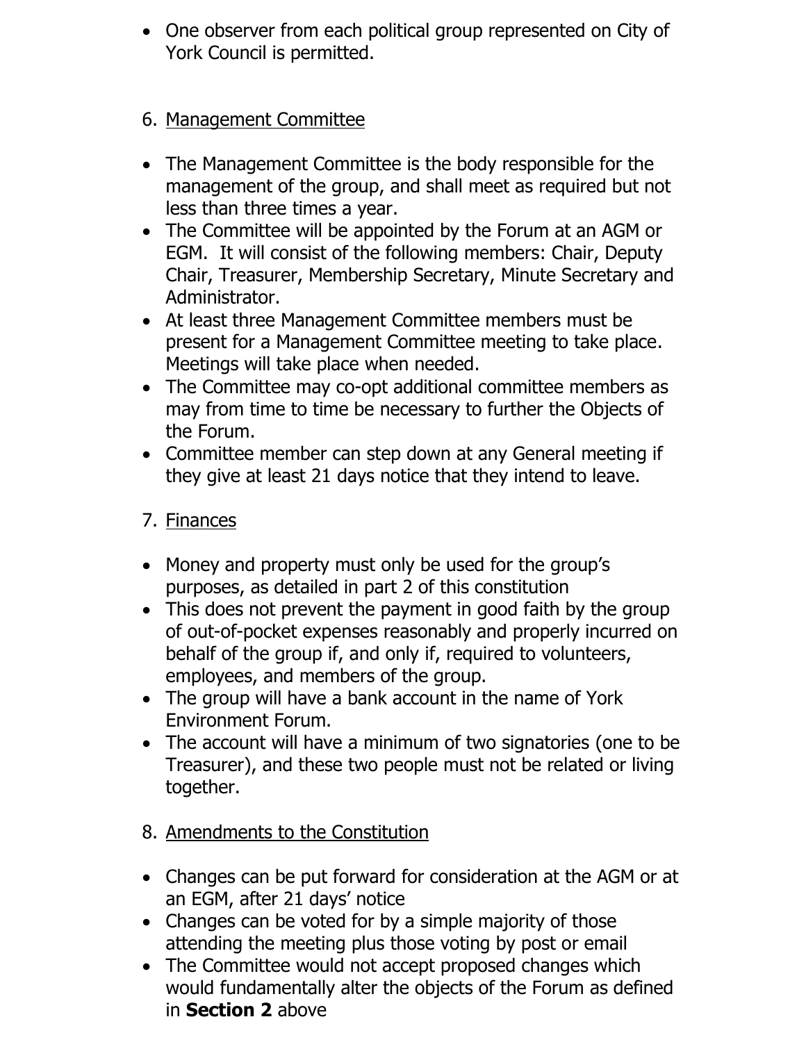• One observer from each political group represented on City of York Council is permitted.

# 6. Management Committee

- The Management Committee is the body responsible for the management of the group, and shall meet as required but not less than three times a year.
- The Committee will be appointed by the Forum at an AGM or EGM. It will consist of the following members: Chair, Deputy Chair, Treasurer, Membership Secretary, Minute Secretary and Administrator.
- At least three Management Committee members must be present for a Management Committee meeting to take place. Meetings will take place when needed.
- The Committee may co-opt additional committee members as may from time to time be necessary to further the Objects of the Forum.
- Committee member can step down at any General meeting if they give at least 21 days notice that they intend to leave.

# 7. Finances

- Money and property must only be used for the group's purposes, as detailed in part 2 of this constitution
- This does not prevent the payment in good faith by the group of out-of-pocket expenses reasonably and properly incurred on behalf of the group if, and only if, required to volunteers, employees, and members of the group.
- The group will have a bank account in the name of York Environment Forum.
- The account will have a minimum of two signatories (one to be Treasurer), and these two people must not be related or living together.
- 8. Amendments to the Constitution
- Changes can be put forward for consideration at the AGM or at an EGM, after 21 days' notice
- Changes can be voted for by a simple majority of those attending the meeting plus those voting by post or email
- The Committee would not accept proposed changes which would fundamentally alter the objects of the Forum as defined in **Section 2** above